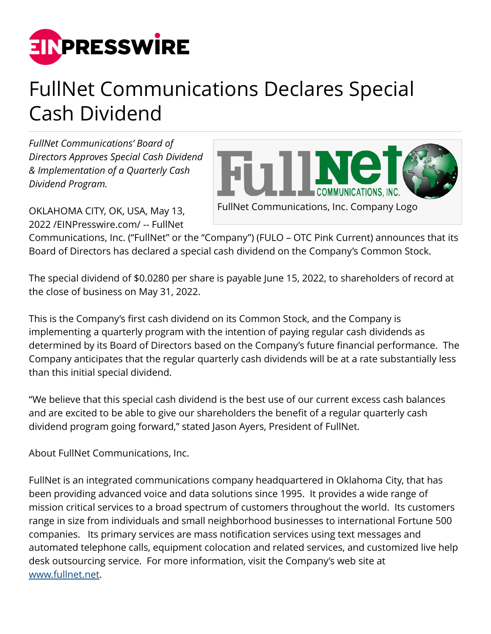

## FullNet Communications Declares Special Cash Dividend

*FullNet Communications' Board of Directors Approves Special Cash Dividend & Implementation of a Quarterly Cash Dividend Program.*



OKLAHOMA CITY, OK, USA, May 13, 2022 /[EINPresswire.com](http://www.einpresswire.com)/ -- FullNet

Communications, Inc. ("FullNet" or the "Company") (FULO – OTC Pink Current) announces that its Board of Directors has declared a special cash dividend on the Company's Common Stock.

The special dividend of \$0.0280 per share is payable June 15, 2022, to shareholders of record at the close of business on May 31, 2022.

This is the Company's first cash dividend on its Common Stock, and the Company is implementing a quarterly program with the intention of paying regular cash dividends as determined by its Board of Directors based on the Company's future financial performance. The Company anticipates that the regular quarterly cash dividends will be at a rate substantially less than this initial special dividend.

"We believe that this special cash dividend is the best use of our current excess cash balances and are excited to be able to give our shareholders the benefit of a regular quarterly cash dividend program going forward," stated Jason Ayers, President of FullNet.

About FullNet Communications, Inc.

FullNet is an integrated communications company headquartered in Oklahoma City, that has been providing advanced voice and data solutions since 1995. It provides a wide range of mission critical services to a broad spectrum of customers throughout the world. Its customers range in size from individuals and small neighborhood businesses to international Fortune 500 companies. Its primary services are mass notification services using text messages and automated telephone calls, equipment colocation and related services, and customized live help desk outsourcing service. For more information, visit the Company's web site at [www.fullnet.net.](http://www.fullnet.net)